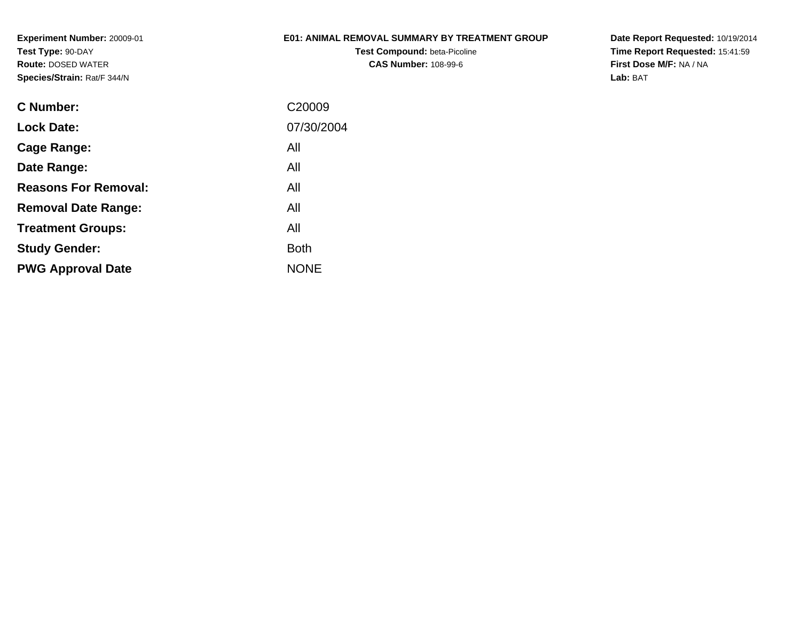## **E01: ANIMAL REMOVAL SUMMARY BY TREATMENT GROUP**

**Test Compound:** beta-Picoline**CAS Number:** 108-99-6

**Date Report Requested:** 10/19/2014 **Time Report Requested:** 15:41:59**First Dose M/F:** NA / NA**Lab:** BAT

| C <sub>20009</sub> |
|--------------------|
| 07/30/2004         |
| All                |
| All                |
| All                |
| All                |
| All                |
| <b>Both</b>        |
| <b>NONE</b>        |
|                    |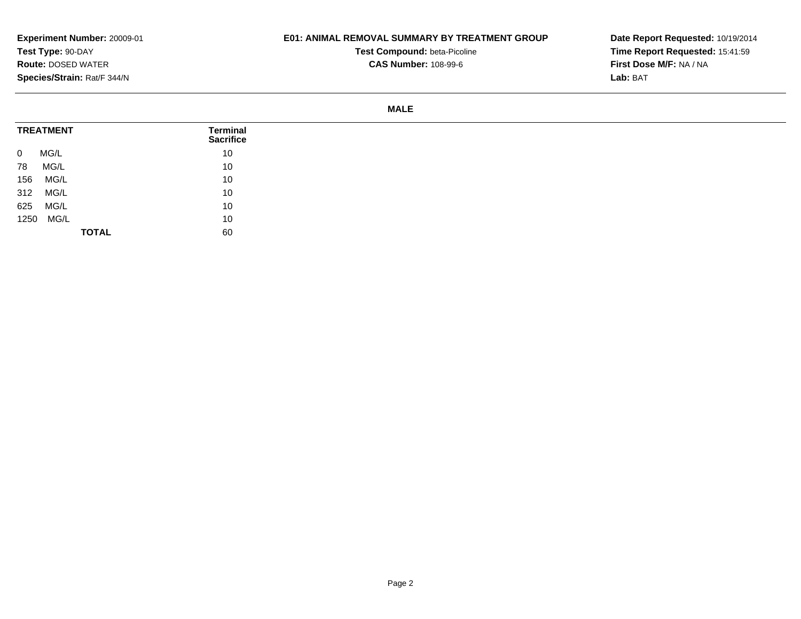## **E01: ANIMAL REMOVAL SUMMARY BY TREATMENT GROUP**

**Test Compound:** beta-Picoline**CAS Number:** 108-99-6

**Date Report Requested:** 10/19/2014**Time Report Requested:** 15:41:59**First Dose M/F:** NA / NA**Lab:** BAT

**MALE**

| <b>TREATMENT</b>       | Terminal<br><b>Sacrifice</b> |
|------------------------|------------------------------|
| MG/L<br>$\overline{0}$ | 10                           |
| MG/L<br>78             | 10                           |
| MG/L<br>156            | 10                           |
| MG/L<br>312            | 10                           |
| MG/L<br>625            | 10                           |
| 1250 MG/L              | 10                           |
|                        | 60<br><b>TOTAL</b>           |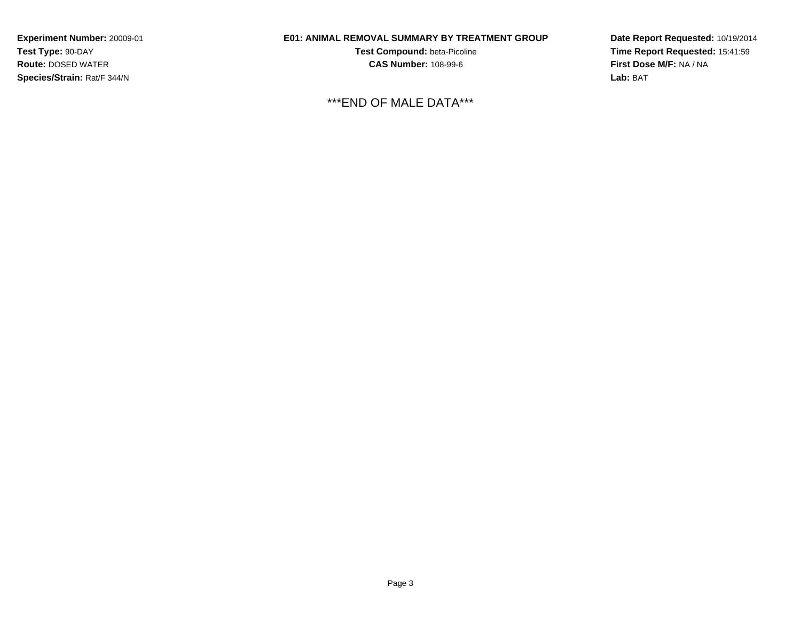# **E01: ANIMAL REMOVAL SUMMARY BY TREATMENT GROUP**

**Test Compound:** beta-Picoline**CAS Number:** 108-99-6

\*\*\*END OF MALE DATA\*\*\*

**Date Report Requested:** 10/19/2014**Time Report Requested:** 15:41:59**First Dose M/F:** NA / NA**Lab:** BAT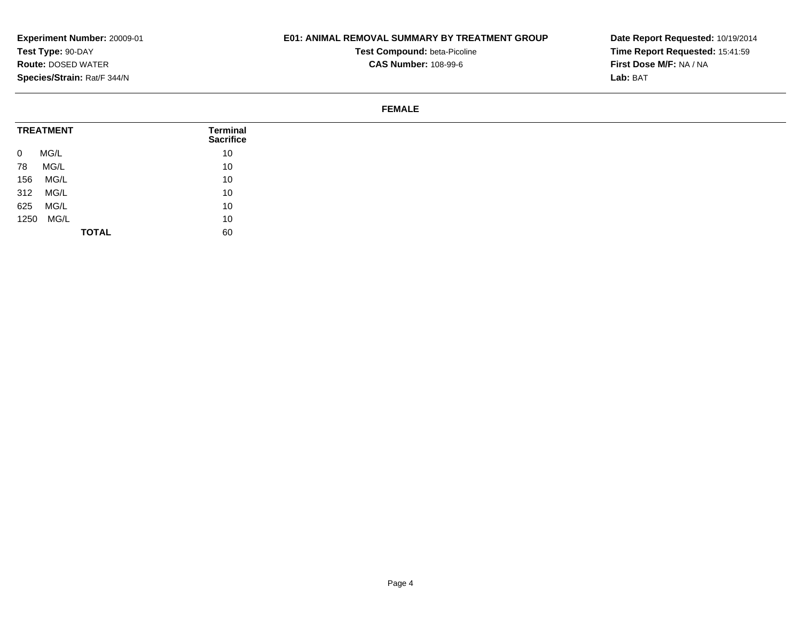## **E01: ANIMAL REMOVAL SUMMARY BY TREATMENT GROUP**

**Test Compound:** beta-Picoline**CAS Number:** 108-99-6

**Date Report Requested:** 10/19/2014**Time Report Requested:** 15:41:59**First Dose M/F:** NA / NA**Lab:** BAT

#### **FEMALE**

| <b>TREATMENT</b>       | <b>Terminal</b><br><b>Sacrifice</b> |
|------------------------|-------------------------------------|
| MG/L<br>$\overline{0}$ | 10                                  |
| MG/L<br>78             | 10                                  |
| MG/L<br>156            | 10                                  |
| 312<br>MG/L            | 10                                  |
| MG/L<br>625            | 10                                  |
| 1250 MG/L              | 10                                  |
|                        | 60<br><b>TOTAL</b>                  |